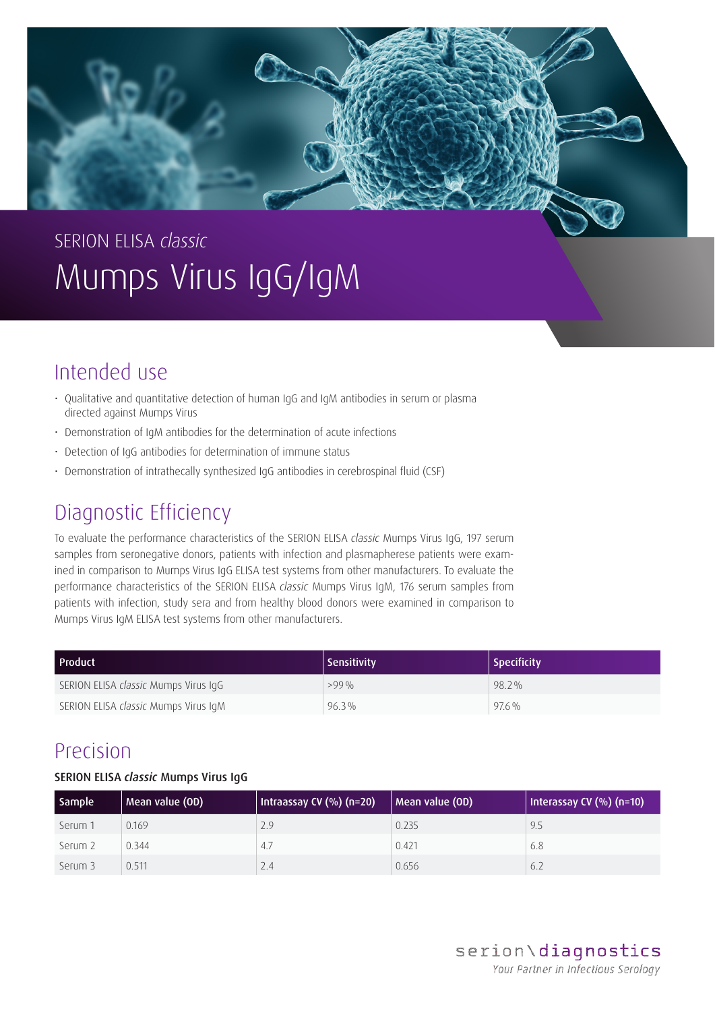

# SERION ELISA *classic* Mumps Virus IgG/IgM

# Intended use

- Qualitative and quantitative detection of human IgG and IgM antibodies in serum or plasma directed against Mumps Virus
- Demonstration of IgM antibodies for the determination of acute infections
- Detection of IgG antibodies for determination of immune status
- Demonstration of intrathecally synthesized IgG antibodies in cerebrospinal fluid (CSF)

# Diagnostic Efficiency

To evaluate the performance characteristics of the SERION ELISA *classic* Mumps Virus IgG, 197 serum samples from seronegative donors, patients with infection and plasmapherese patients were examined in comparison to Mumps Virus IgG ELISA test systems from other manufacturers. To evaluate the performance characteristics of the SERION ELISA *classic* Mumps Virus IgM, 176 serum samples from patients with infection, study sera and from healthy blood donors were examined in comparison to Mumps Virus IgM ELISA test systems from other manufacturers.

| l Product                            | Sensitivity | <b>Specificity</b> |
|--------------------------------------|-------------|--------------------|
| SERION ELISA classic Mumps Virus IqG | $>99\%$     | 98.2%              |
| SERION ELISA classic Mumps Virus IqM | 96.3%       | $97.6\%$           |

### Precision

### SERION ELISA *classic* Mumps Virus IgG

| <b>Sample</b> | Mean value (OD) | Intraassay CV $(%)$ (n=20) | Mean value (OD) | Interassay CV $(\%)$ (n=10) |
|---------------|-----------------|----------------------------|-----------------|-----------------------------|
| Serum 1       | 0.169           | 2.9                        | 0.235           | 9.5                         |
| Serum 2       | 0.344           | 4.7                        | 0.421           | 6.8                         |
| Serum 3       | 0.511           | 2.4                        | 0.656           | 6.2                         |